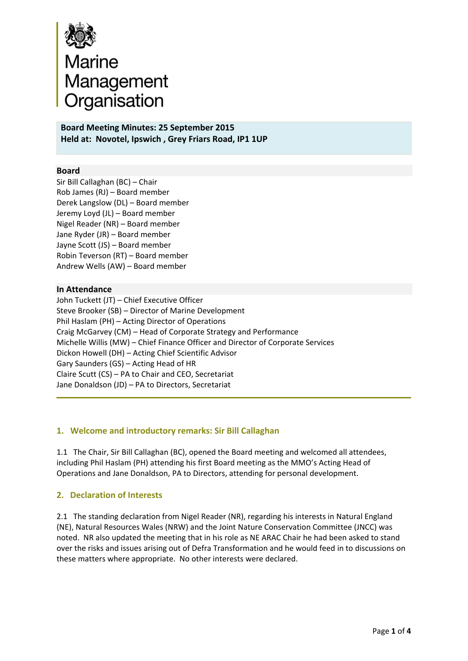

**Board Meeting Minutes: 25 September 2015 Held at: Novotel, Ipswich , Grey Friars Road, IP1 1UP**

## **Board**

Sir Bill Callaghan (BC) – Chair Rob James (RJ) – Board member Derek Langslow (DL) – Board member Jeremy Loyd (JL) – Board member Nigel Reader (NR) – Board member Jane Ryder (JR) – Board member Jayne Scott (JS) – Board member Robin Teverson (RT) – Board member Andrew Wells (AW) – Board member

## **In Attendance**

John Tuckett (JT) – Chief Executive Officer Steve Brooker (SB) – Director of Marine Development Phil Haslam (PH) – Acting Director of Operations Craig McGarvey (CM) – Head of Corporate Strategy and Performance Michelle Willis (MW) – Chief Finance Officer and Director of Corporate Services Dickon Howell (DH) – Acting Chief Scientific Advisor Gary Saunders (GS) – Acting Head of HR Claire Scutt (CS) – PA to Chair and CEO, Secretariat Jane Donaldson (JD) – PA to Directors, Secretariat

### **1. Welcome and introductory remarks: Sir Bill Callaghan**

1.1 The Chair, Sir Bill Callaghan (BC), opened the Board meeting and welcomed all attendees, including Phil Haslam (PH) attending his first Board meeting as the MMO's Acting Head of Operations and Jane Donaldson, PA to Directors, attending for personal development.

## **2. Declaration of Interests**

2.1 The standing declaration from Nigel Reader (NR), regarding his interests in Natural England (NE), Natural Resources Wales (NRW) and the Joint Nature Conservation Committee (JNCC) was noted. NR also updated the meeting that in his role as NE ARAC Chair he had been asked to stand over the risks and issues arising out of Defra Transformation and he would feed in to discussions on these matters where appropriate. No other interests were declared.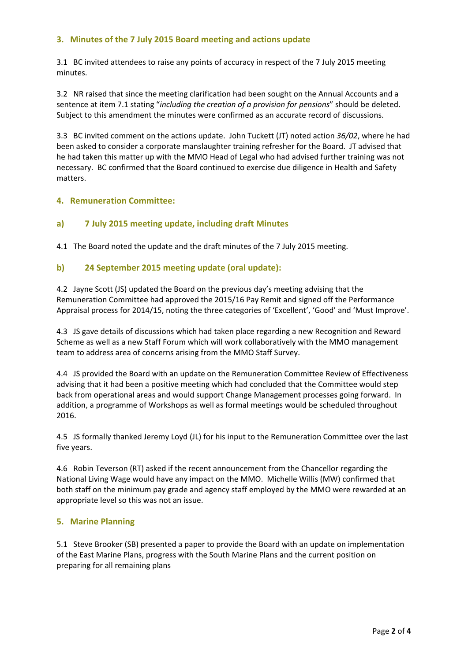# **3. Minutes of the 7 July 2015 Board meeting and actions update**

3.1 BC invited attendees to raise any points of accuracy in respect of the 7 July 2015 meeting minutes.

3.2 NR raised that since the meeting clarification had been sought on the Annual Accounts and a sentence at item 7.1 stating "*including the creation of a provision for pensions*" should be deleted. Subject to this amendment the minutes were confirmed as an accurate record of discussions.

3.3 BC invited comment on the actions update. John Tuckett (JT) noted action *36/02*, where he had been asked to consider a corporate manslaughter training refresher for the Board. JT advised that he had taken this matter up with the MMO Head of Legal who had advised further training was not necessary. BC confirmed that the Board continued to exercise due diligence in Health and Safety matters.

## **4. Remuneration Committee:**

## **a) 7 July 2015 meeting update, including draft Minutes**

4.1 The Board noted the update and the draft minutes of the 7 July 2015 meeting.

## **b) 24 September 2015 meeting update (oral update):**

4.2 Jayne Scott (JS) updated the Board on the previous day's meeting advising that the Remuneration Committee had approved the 2015/16 Pay Remit and signed off the Performance Appraisal process for 2014/15, noting the three categories of 'Excellent', 'Good' and 'Must Improve'.

4.3 JS gave details of discussions which had taken place regarding a new Recognition and Reward Scheme as well as a new Staff Forum which will work collaboratively with the MMO management team to address area of concerns arising from the MMO Staff Survey.

4.4 JS provided the Board with an update on the Remuneration Committee Review of Effectiveness advising that it had been a positive meeting which had concluded that the Committee would step back from operational areas and would support Change Management processes going forward. In addition, a programme of Workshops as well as formal meetings would be scheduled throughout 2016.

4.5 JS formally thanked Jeremy Loyd (JL) for his input to the Remuneration Committee over the last five years.

4.6 Robin Teverson (RT) asked if the recent announcement from the Chancellor regarding the National Living Wage would have any impact on the MMO. Michelle Willis (MW) confirmed that both staff on the minimum pay grade and agency staff employed by the MMO were rewarded at an appropriate level so this was not an issue.

### **5. Marine Planning**

5.1 Steve Brooker (SB) presented a paper to provide the Board with an update on implementation of the East Marine Plans, progress with the South Marine Plans and the current position on preparing for all remaining plans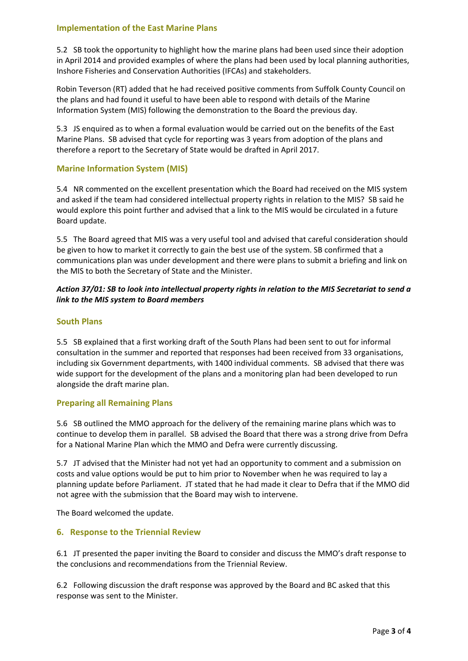## **Implementation of the East Marine Plans**

5.2 SB took the opportunity to highlight how the marine plans had been used since their adoption in April 2014 and provided examples of where the plans had been used by local planning authorities, Inshore Fisheries and Conservation Authorities (IFCAs) and stakeholders.

Robin Teverson (RT) added that he had received positive comments from Suffolk County Council on the plans and had found it useful to have been able to respond with details of the Marine Information System (MIS) following the demonstration to the Board the previous day.

5.3 JS enquired as to when a formal evaluation would be carried out on the benefits of the East Marine Plans. SB advised that cycle for reporting was 3 years from adoption of the plans and therefore a report to the Secretary of State would be drafted in April 2017.

### **Marine Information System (MIS)**

5.4 NR commented on the excellent presentation which the Board had received on the MIS system and asked if the team had considered intellectual property rights in relation to the MIS? SB said he would explore this point further and advised that a link to the MIS would be circulated in a future Board update.

5.5 The Board agreed that MIS was a very useful tool and advised that careful consideration should be given to how to market it correctly to gain the best use of the system. SB confirmed that a communications plan was under development and there were plans to submit a briefing and link on the MIS to both the Secretary of State and the Minister.

## Action 37/01: SB to look into intellectual property rights in relation to the MIS Secretariat to send a *link to the MIS system to Board members*

## **South Plans**

5.5 SB explained that a first working draft of the South Plans had been sent to out for informal consultation in the summer and reported that responses had been received from 33 organisations, including six Government departments, with 1400 individual comments. SB advised that there was wide support for the development of the plans and a monitoring plan had been developed to run alongside the draft marine plan.

### **Preparing all Remaining Plans**

5.6 SB outlined the MMO approach for the delivery of the remaining marine plans which was to continue to develop them in parallel. SB advised the Board that there was a strong drive from Defra for a National Marine Plan which the MMO and Defra were currently discussing.

5.7 JT advised that the Minister had not yet had an opportunity to comment and a submission on costs and value options would be put to him prior to November when he was required to lay a planning update before Parliament. JT stated that he had made it clear to Defra that if the MMO did not agree with the submission that the Board may wish to intervene.

The Board welcomed the update.

### **6. Response to the Triennial Review**

6.1 JT presented the paper inviting the Board to consider and discuss the MMO's draft response to the conclusions and recommendations from the Triennial Review.

6.2 Following discussion the draft response was approved by the Board and BC asked that this response was sent to the Minister.